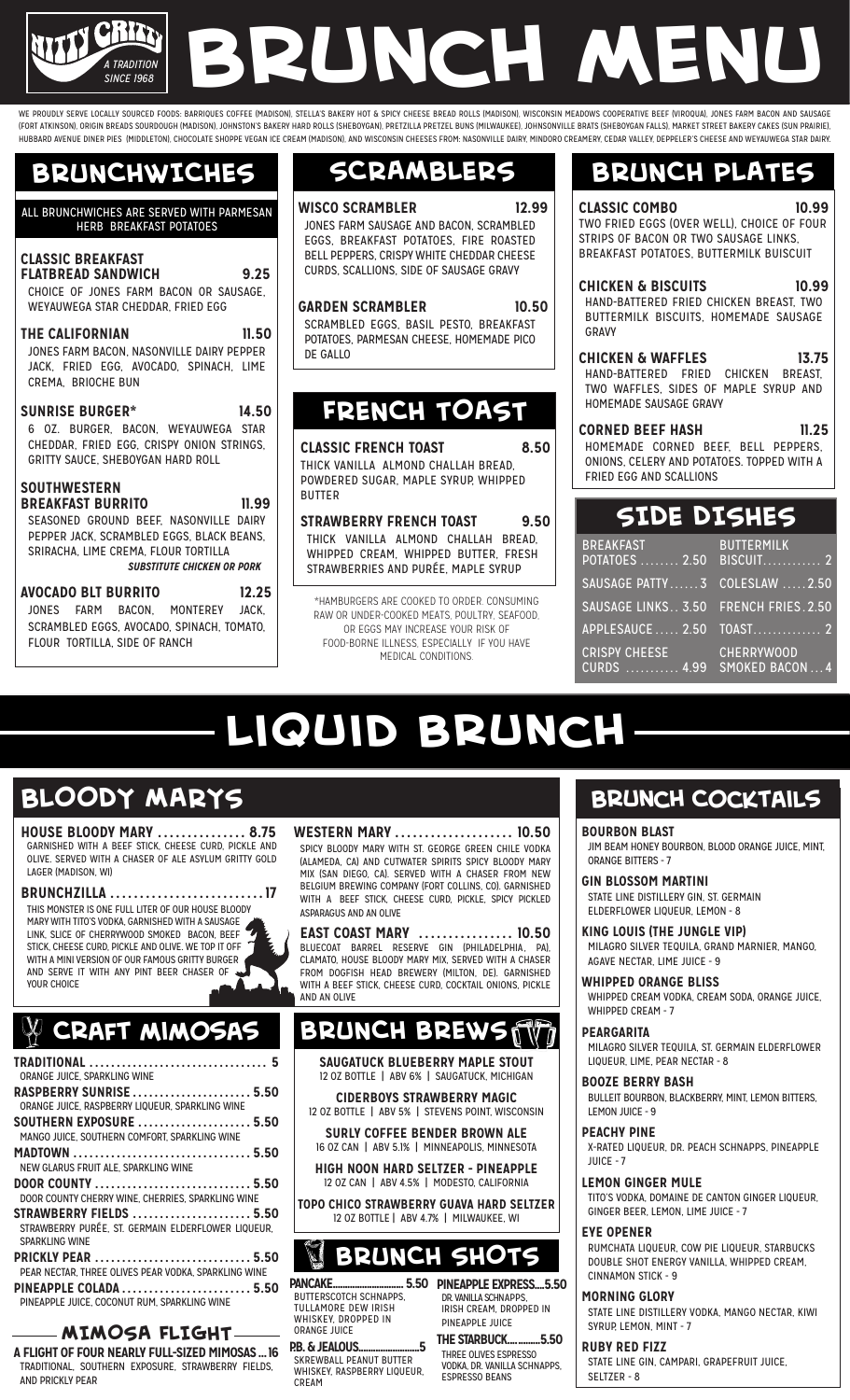# *A TRADITION SINCE 1968* **Brunch Menu**

WE PROUDLY SERVE LOCALLY SOURCED FOODS: BARRIQUES COFFEE (MADISON), STELLA'S BAKERY HOT & SPICY CHEESE BREAD ROLLS (MADISON), WISCONSIN MEADOWS COOPERATIVE BEEF (VIROQUA), JONES FARM BACON AND SAUSAGE (FORT ATKINSON), ORIGIN BREADS SOURDOUGH (MADISON), JOHNSTON'S BAKERY HARD ROLLS (SHEBOYGAN), PRETZILLA PRETZEL BUNS (MILWAUKEE), JOHNSONVILLE BRATS (SHEBOYGAN FALLS), MARKET STREET BAKERY CAKES (SUN PRAIRIE), HUBBARD AVENUE DINER PIES (MIDDLETON), CHOCOLATE SHOPPE VEGAN ICE CREAM (MADISON), AND WISCONSIN CHEESES FROM: NASONVILLE DAIRY, MINDORO CREAMERY, CEDAR VALLEY, DEPPELER'S CHEESE AND WEYAUWEGA STAR DAIRY.

## **BRUNCHWICHES**

#### ALL BRUNCHWICHES ARE SERVED WITH PARMESAN HERB BREAKFAST POTATOES

| <b>CLASSIC BREAKFAST</b><br><b>FLATBREAD SANDWICH</b><br>CHOICE OF JONES FARM BACON OR SAUSAGE.<br>WEYAUWEGA STAR CHEDDAR, FRIED EGG                                                                                         | 9.25  |
|------------------------------------------------------------------------------------------------------------------------------------------------------------------------------------------------------------------------------|-------|
| <b>THE CALIFORNIAN</b><br>JONES FARM BACON, NASONVILLE DAIRY PEPPER<br>JACK, FRIED EGG, AVOCADO, SPINACH, LIME<br>CREMA. BRIOCHE BUN                                                                                         | 11.50 |
| <b>SUNRISE BURGER*</b><br>6 OZ. BURGER. BACON. WEYAUWEGA STAR<br>CHEDDAR, FRIED EGG, CRISPY ONION STRINGS,<br>GRITTY SAUCE, SHEBOYGAN HARD ROLL                                                                              | 14.50 |
| <b>SOUTHWESTERN</b><br><b>BREAKFAST BURRITO</b><br>11.99<br>SEASONED GROUND BEEF. NASONVILLE DAIRY<br>PEPPER JACK, SCRAMBLED EGGS, BLACK BEANS,<br>SRIRACHA, LIME CREMA, FLOUR TORTILLA<br><b>SUBSTITUTE CHICKEN OR PORK</b> |       |
| <b>AVOCADO BLT BURRITO 12.25</b><br>JONES FARM BACON. MONTEREY JACK.<br>SCRAMBLED EGGS, AVOCADO, SPINACH, TOMATO,                                                                                                            |       |

#### **SCRAMBLERS**

**WISCO SCRAMBLER 12.99** JONES FARM SAUSAGE AND BACON, SCRAMBLED EGGS, BREAKFAST POTATOES, FIRE ROASTED BELL PEPPERS, CRISPY WHITE CHEDDAR CHEESE CURDS, SCALLIONS, SIDE OF SAUSAGE GRAVY

#### **GARDEN SCRAMBLER 10.50**

SCRAMBLED EGGS, BASIL PESTO, BREAKEAST POTATOES, PARMESAN CHEESE, HOMEMADE PICO DE GALLO

#### **FRENCH TOAST**

**CLASSIC FRENCH TOAST 8.50** THICK VANILLA ALMOND CHALLAH BREAD, POWDERED SUGAR, MAPLE SYRUP, WHIPPED BUTTER

**STRAWBERRY FRENCH TOAST 9.50** THICK VANILLA ALMOND CHALLAH BREAD, WHIPPED CREAM, WHIPPED BUTTER, FRESH STRAWBERRIES AND PURÉE, MAPLE SYRUP

\*HAMBURGERS ARE COOKED TO ORDER. CONSUMING RAW OR UNDER-COOKED MEATS, POULTRY, SEAFOOD, OR EGGS MAY INCREASE YOUR RISK OF FOOD-BORNE ILLNESS, ESPECIALLY IF YOU HAVE MEDICAL CONDITIONS.

### **BRUNCH PLATES**

**CLASSIC COMBO 10.99** TWO FRIED EGGS (OVER WELL), CHOICE OF FOUR STRIPS OF BACON OR TWO SAUSAGE LINKS, BREAKFAST POTATOES, BUTTERMILK BUISCUIT

**CHICKEN & BISCUITS 10.99** HAND-BATTERED FRIED CHICKEN BREAST, TWO BUTTERMILK BISCUITS, HOMEMADE SAUSAGE GRAVY

**CHICKEN & WAFFLES 13.75**<br> **13.75** HAND-BATTERED FRIED CHICKEN BREAST, HAND-BATTERED FRIED TWO WAFFLES, SIDES OF MAPLE SYRUP AND HOMEMADE SAUSAGE GRAVY

**CORNED BEEF HASH 11.25** HOMEMADE CORNED BEEF, BELL PEPPERS, ONIONS, CELERY AND POTATOES. TOPPED WITH A FRIED EGG AND SCALLIONS

## **SIDE DISHES**

| <b>BREAKFAST</b><br><u>a sa Tan</u><br>POTATOES  2.50 BISCUIT 2 | <b>BUTTERMILK</b> |
|-----------------------------------------------------------------|-------------------|
| SAUSAGE PATTY 3 COLESLAW 2.50                                   |                   |
| SAUSAGE LINKS 3.50 FRENCH FRIES. 2.50                           |                   |
| APPLESAUCE 2.50 TOAST 2                                         |                   |
| <b>CRISPY CHEESE</b><br>CURDS  4.99 SMOKED BACON  4             | <b>CHERRYWOOD</b> |

# **Liquid brunch**

## **BLOODY MARYS**

FLOUR TORTILLA, SIDE OF RANCH

**HOUSE BLOODY MARY ............... 8.75** GARNISHED WITH A BEEF STICK, CHEESE CURD, PICKLE AND OLIVE. SERVED WITH A CHASER OF ALE ASYLUM GRITTY GOLD LAGER (MADISON, WI)

**BRUNCHZILLA .......................... 17**

THIS MONSTER IS ONE FULL LITER OF OUR HOUSE BLOODY MARY WITH TITO'S VODKA, GARNISHED WITH A SAUSAGE LINK, SLICE OF CHERRYWOOD SMOKED BACON, BEEF STICK, CHEESE CURD, PICKLE AND OLIVE. WE TOP IT OFF WITH A MINI VERSION OF OUR FAMOUS GRITTY BURGER AND SERVE IT WITH ANY PINT BEER CHASER OF YOUR CHOICE

## **Craft mimosas**

| ORANGE JUICE, SPARKLING WINE                                                         |
|--------------------------------------------------------------------------------------|
| <b>RASPBERRY SUNRISE  5.50</b>                                                       |
| ORANGE JUICE, RASPBERRY LIQUEUR, SPARKLING WINE                                      |
| <b>SOUTHERN EXPOSURE  5.50</b>                                                       |
| MANGO JUICE. SOUTHERN COMFORT. SPARKLING WINE                                        |
|                                                                                      |
| NEW GLARUS FRUIT ALE. SPARKLING WINE                                                 |
| DOOR COUNTY  5.50                                                                    |
| DOOR COUNTY CHERRY WINE. CHERRIES. SPARKLING WINE                                    |
| <b>STRAWBERRY FIELDS  5.50</b><br>STRAWBERRY PURÉE, ST. GERMAIN ELDERFLOWER LIQUEUR. |
| <b>SPARKLING WINE</b>                                                                |
| PEAR NECTAR. THREE OLIVES PEAR VODKA. SPARKLING WINE                                 |
| PINEAPPLE COLADA  5.50<br>PINEAPPLE JUICE. COCONUT RUM. SPARKLING WINE               |
|                                                                                      |

#### **MIMOSA FLIGHT**

**A FLIGHT OF FOUR NEARLY FULL-SIZED MIMOSAS...16** TRADITIONAL, SOUTHERN EXPOSURE, STRAWBERRY FIELDS, AND PRICKLY PEAR

#### **WESTERN MARY .................... 10.50**

SPICY BLOODY MARY WITH ST. GEORGE GREEN CHILE VODKA (ALAMEDA, CA) AND CUTWATER SPIRITS SPICY BLOODY MARY MIX (SAN DIEGO, CA). SERVED WITH A CHASER FROM NEW BELGIUM BREWING COMPANY (FORT COLLINS, CO). GARNISHED WITH A BEEF STICK, CHEESE CURD, PICKLE, SPICY PICKLED ASPARAGUS AND AN OLIVE

**EAST COAST MARY ................ 10.50** BLUECOAT BARREL RESERVE GIN (PHILADELPHIA, PA), CLAMATO, HOUSE BLOODY MARY MIX, SERVED WITH A CHASER FROM DOGFISH HEAD BREWERY (MILTON, DE). GARNISHED WITH A BEEF STICK, CHEESE CURD, COCKTAIL ONIONS, PICKLE AND AN OLIVE

#### **BRUNCH BREW**

**SAUGATUCK BLUEBERRY MAPLE STOUT**  12 OZ BOTTLE | ABV 6% | SAUGATUCK, MICHIGAN

- **CIDERBOYS STRAWBERRY MAGIC** 12 OZ BOTTLE | ABV 5% | STEVENS POINT, WISCONSIN
- **SURLY COFFEE BENDER BROWN ALE** 16 OZ CAN | ABV 5.1% | MINNEAPOLIS, MINNESOTA

**HIGH NOON HARD SELTZER - PINEAPPLE**

12 OZ CAN | ABV 4.5% | MODESTO, CALIFORNIA **TOPO CHICO STRAWBERRY GUAVA HARD SELTZER** 12 OZ BOTTLE | ABV 4.7% | MILWAUKEE, WI

## **BRUNCH SHOTS**

**PANCAKE............................. 5.50** BUTTERSCOTCH SCHNAPPS, TULLAMORE DEW IRISH WHISKEY, DROPPED IN ORANGE JUICE

**P.B. & JEALOUS.........................5** SKREWBALL PEANUT BUTTER WHISKEY, RASPBERRY LIQUEUR,

CREAM

**PINEAPPLE EXPRESS....5.50** DR. VANILLA SCHNAPPS IRISH CREAM, DROPPED IN PINEAPPLE JUICE

**THE STARBUCK.............5.50** THREE OLIVES ESPRESSO VODKA, DR. VANILLA SCHNAPPS, ESPRESSO BEANS

#### **Brunch Cocktails**

**BOURBON BLAST**

JIM BEAM HONEY BOURBON, BLOOD ORANGE JUICE, MINT, ORANGE BITTERS - 7

**GIN BLOSSOM MARTINI** STATE LINE DISTILLERY GIN, ST. GERMAIN ELDERFLOWER LIQUEUR, LEMON - 8

**KING LOUIS (THE JUNGLE VIP)** MILAGRO SILVER TEQUILA, GRAND MARNIER, MANGO, AGAVE NECTAR, LIME JUICE - 9

**WHIPPED ORANGE BLISS**

WHIPPED CREAM VODKA, CREAM SODA, ORANGE JUICE, WHIPPED CREAM - 7

**PEARGARITA** 

MILAGRO SILVER TEQUILA, ST. GERMAIN ELDERFLOWER LIQUEUR, LIME, PEAR NECTAR - 8

**BOOZE BERRY BASH** BULLEIT BOURBON, BLACKBERRY, MINT, LEMON BITTERS, LEMON JUICE - 9

**PEACHY PINE**

X-RATED LIQUEUR, DR. PEACH SCHNAPPS, PINEAPPLE JUICE - 7

**LEMON GINGER MULE**

TITO'S VODKA, DOMAINE DE CANTON GINGER LIQUEUR, GINGER BEER, LEMON, LIME JUICE - 7

#### **EYE OPENER**

RUMCHATA LIQUEUR, COW PIE LIQUEUR, STARBUCKS DOUBLE SHOT ENERGY VANILLA, WHIPPED CREAM, CINNAMON STICK - 9

#### **MORNING GLORY**

STATE LINE DISTILLERY VODKA, MANGO NECTAR, KIWI SYRUP, LEMON, MINT - 7

**RUBY RED FIZZ**

STATE LINE GIN, CAMPARI, GRAPEFRUIT JUICE, SELTZER - 8